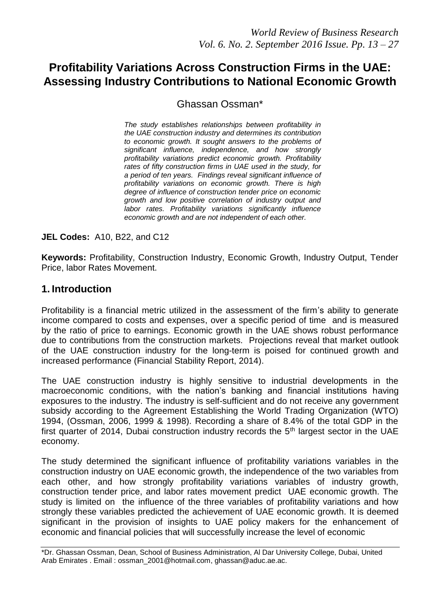# **Profitability Variations Across Construction Firms in the UAE: Assessing Industry Contributions to National Economic Growth**

Ghassan Ossman\*

*The study establishes relationships between profitability in the UAE construction industry and determines its contribution to economic growth. It sought answers to the problems of significant influence, independence, and how strongly profitability variations predict economic growth. Profitability rates of fifty construction firms in UAE used in the study, for a period of ten years. Findings reveal significant influence of profitability variations on economic growth. There is high degree of influence of construction tender price on economic growth and low positive correlation of industry output and labor rates. Profitability variations significantly influence economic growth and are not independent of each other.* 

**JEL Codes:** A10, B22, and C12

**Keywords:** Profitability, Construction Industry, Economic Growth, Industry Output, Tender Price, labor Rates Movement.

## **1. Introduction**

Profitability is a financial metric utilized in the assessment of the firm's ability to generate income compared to costs and expenses, over a specific period of time and is measured by the ratio of price to earnings. Economic growth in the UAE shows robust performance due to contributions from the construction markets. Projections reveal that market outlook of the UAE construction industry for the long-term is poised for continued growth and increased performance (Financial Stability Report, 2014).

The UAE construction industry is highly sensitive to industrial developments in the macroeconomic conditions, with the nation's banking and financial institutions having exposures to the industry. The industry is self-sufficient and do not receive any government subsidy according to the Agreement Establishing the World Trading Organization (WTO) 1994, (Ossman, 2006, 1999 & 1998). Recording a share of 8.4% of the total GDP in the first quarter of 2014, Dubai construction industry records the  $5<sup>th</sup>$  largest sector in the UAE economy.

The study determined the significant influence of profitability variations variables in the construction industry on UAE economic growth, the independence of the two variables from each other, and how strongly profitability variations variables of industry growth, construction tender price, and labor rates movement predict UAE economic growth. The study is limited on the influence of the three variables of profitability variations and how strongly these variables predicted the achievement of UAE economic growth. It is deemed significant in the provision of insights to UAE policy makers for the enhancement of economic and financial policies that will successfully increase the level of economic

<sup>\*</sup>Dr. Ghassan Ossman, Dean, School of Business Administration, Al Dar University College, Dubai, United Arab Emirates . Email : [ossman\\_2001@hotmail.com,](mailto:ossman_2001@hotmail.com) ghassan@aduc.ae.ac.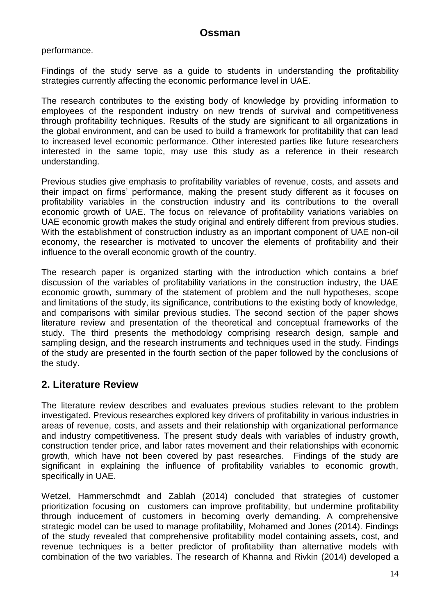performance.

Findings of the study serve as a guide to students in understanding the profitability strategies currently affecting the economic performance level in UAE.

The research contributes to the existing body of knowledge by providing information to employees of the respondent industry on new trends of survival and competitiveness through profitability techniques. Results of the study are significant to all organizations in the global environment, and can be used to build a framework for profitability that can lead to increased level economic performance. Other interested parties like future researchers interested in the same topic, may use this study as a reference in their research understanding.

Previous studies give emphasis to profitability variables of revenue, costs, and assets and their impact on firms' performance, making the present study different as it focuses on profitability variables in the construction industry and its contributions to the overall economic growth of UAE. The focus on relevance of profitability variations variables on UAE economic growth makes the study original and entirely different from previous studies. With the establishment of construction industry as an important component of UAE non-oil economy, the researcher is motivated to uncover the elements of profitability and their influence to the overall economic growth of the country.

The research paper is organized starting with the introduction which contains a brief discussion of the variables of profitability variations in the construction industry, the UAE economic growth, summary of the statement of problem and the null hypotheses, scope and limitations of the study, its significance, contributions to the existing body of knowledge, and comparisons with similar previous studies. The second section of the paper shows literature review and presentation of the theoretical and conceptual frameworks of the study. The third presents the methodology comprising research design, sample and sampling design, and the research instruments and techniques used in the study. Findings of the study are presented in the fourth section of the paper followed by the conclusions of the study.

## **2. Literature Review**

The literature review describes and evaluates previous studies relevant to the problem investigated. Previous researches explored key drivers of profitability in various industries in areas of revenue, costs, and assets and their relationship with organizational performance and industry competitiveness. The present study deals with variables of industry growth, construction tender price, and labor rates movement and their relationships with economic growth, which have not been covered by past researches. Findings of the study are significant in explaining the influence of profitability variables to economic growth, specifically in UAE.

Wetzel, Hammerschmdt and Zablah (2014) concluded that strategies of customer prioritization focusing on customers can improve profitability, but undermine profitability through inducement of customers in becoming overly demanding. A comprehensive strategic model can be used to manage profitability, Mohamed and Jones (2014). Findings of the study revealed that comprehensive profitability model containing assets, cost, and revenue techniques is a better predictor of profitability than alternative models with combination of the two variables. The research of Khanna and Rivkin (2014) developed a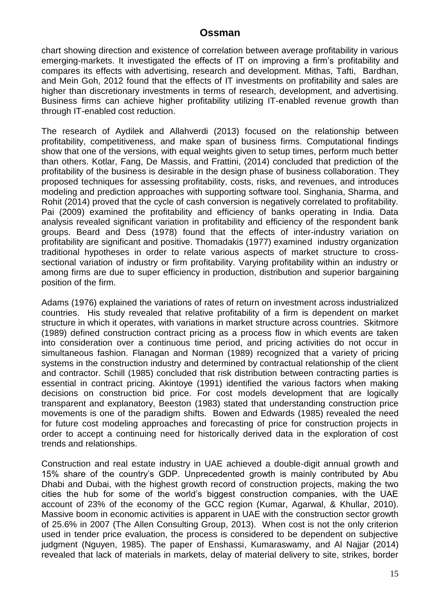chart showing direction and existence of correlation between average profitability in various emerging-markets. It investigated the effects of IT on improving a firm's profitability and compares its effects with advertising, research and development. Mithas, Tafti, Bardhan, and Mein Goh, 2012 found that the effects of IT investments on profitability and sales are higher than discretionary investments in terms of research, development, and advertising. Business firms can achieve higher profitability utilizing IT-enabled revenue growth than through IT-enabled cost reduction.

The research of Aydilek and Allahverdi (2013) focused on the relationship between profitability, competitiveness, and make span of business firms. Computational findings show that one of the versions, with equal weights given to setup times, perform much better than others. Kotlar, Fang, De Massis, and Frattini, (2014) concluded that prediction of the profitability of the business is desirable in the design phase of business collaboration. They proposed techniques for assessing profitability, costs, risks, and revenues, and introduces modeling and prediction approaches with supporting software tool. Singhania, Sharma, and Rohit (2014) proved that the cycle of cash conversion is negatively correlated to profitability. Pai (2009) examined the profitability and efficiency of banks operating in India. Data analysis revealed significant variation in profitability and efficiency of the respondent bank groups. Beard and Dess (1978) found that the effects of inter-industry variation on profitability are significant and positive. Thomadakis (1977) examined industry organization traditional hypotheses in order to relate various aspects of market structure to crosssectional variation of industry or firm profitability. Varying profitability within an industry or among firms are due to super efficiency in production, distribution and superior bargaining position of the firm.

Adams (1976) explained the variations of rates of return on investment across industrialized countries. His study revealed that relative profitability of a firm is dependent on market structure in which it operates, with variations in market structure across countries. Skitmore (1989) defined construction contract pricing as a process flow in which events are taken into consideration over a continuous time period, and pricing activities do not occur in simultaneous fashion. Flanagan and Norman (1989) recognized that a variety of pricing systems in the construction industry and determined by contractual relationship of the client and contractor. Schill (1985) concluded that risk distribution between contracting parties is essential in contract pricing. Akintoye (1991) identified the various factors when making decisions on construction bid price. For cost models development that are logically transparent and explanatory, Beeston (1983) stated that understanding construction price movements is one of the paradigm shifts. Bowen and Edwards (1985) revealed the need for future cost modeling approaches and forecasting of price for construction projects in order to accept a continuing need for historically derived data in the exploration of cost trends and relationships.

Construction and real estate industry in UAE achieved a double-digit annual growth and 15% share of the country's GDP. Unprecedented growth is mainly contributed by Abu Dhabi and Dubai, with the highest growth record of construction projects, making the two cities the hub for some of the world's biggest construction companies, with the UAE account of 23% of the economy of the GCC region (Kumar, Agarwal, & Khullar, 2010). Massive boom in economic activities is apparent in UAE with the construction sector growth of 25.6% in 2007 (The Allen Consulting Group, 2013). When cost is not the only criterion used in tender price evaluation, the process is considered to be dependent on subjective judgment (Nguyen, 1985). The paper of Enshassi, Kumaraswamy, and Al Najjar (2014) revealed that lack of materials in markets, delay of material delivery to site, strikes, border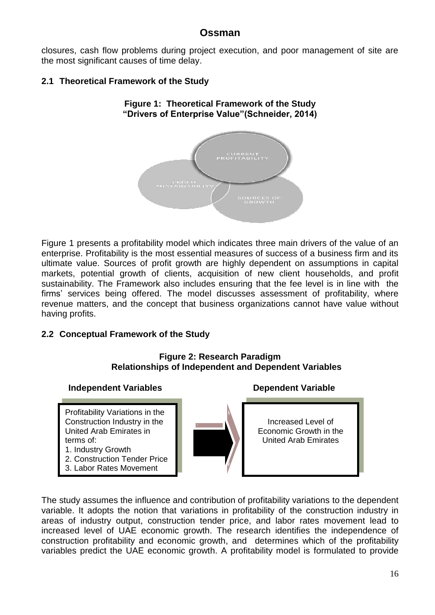closures, cash flow problems during project execution, and poor management of site are the most significant causes of time delay.

**Figure 1: Theoretical Framework of the Study**

### **2.1 Theoretical Framework of the Study**



Figure 1 presents a profitability model which indicates three main drivers of the value of an enterprise. Profitability is the most essential measures of success of a business firm and its ultimate value. Sources of profit growth are highly dependent on assumptions in capital markets, potential growth of clients, acquisition of new client households, and profit sustainability. The Framework also includes ensuring that the fee level is in line with the firms' services being offered. The model discusses assessment of profitability, where revenue matters, and the concept that business organizations cannot have value without having profits.

#### **2.2 Conceptual Framework of the Study**

#### **Figure 2: Research Paradigm Relationships of Independent and Dependent Variables**

#### **Independent Variables Dependent Variable**

Profitability Variations in the Construction Industry in the United Arab Emirates in terms of: 1. Industry Growth

- 2. Construction Tender Price
- 3. Labor Rates Movement



Increased Level of Economic Growth in the United Arab Emirates

The study assumes the influence and contribution of profitability variations to the dependent variable. It adopts the notion that variations in profitability of the construction industry in areas of industry output, construction tender price, and labor rates movement lead to increased level of UAE economic growth. The research identifies the independence of construction profitability and economic growth, and determines which of the profitability variables predict the UAE economic growth. A profitability model is formulated to provide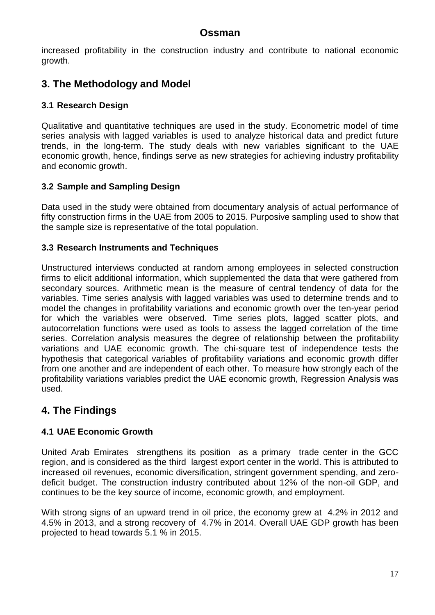increased profitability in the construction industry and contribute to national economic growth.

# **3. The Methodology and Model**

### **3.1 Research Design**

Qualitative and quantitative techniques are used in the study. Econometric model of time series analysis with lagged variables is used to analyze historical data and predict future trends, in the long-term. The study deals with new variables significant to the UAE economic growth, hence, findings serve as new strategies for achieving industry profitability and economic growth.

## **3.2 Sample and Sampling Design**

Data used in the study were obtained from documentary analysis of actual performance of fifty construction firms in the UAE from 2005 to 2015. Purposive sampling used to show that the sample size is representative of the total population.

#### **3.3 Research Instruments and Techniques**

Unstructured interviews conducted at random among employees in selected construction firms to elicit additional information, which supplemented the data that were gathered from secondary sources. Arithmetic mean is the measure of central tendency of data for the variables. Time series analysis with lagged variables was used to determine trends and to model the changes in profitability variations and economic growth over the ten-year period for which the variables were observed. Time series plots, lagged scatter plots, and autocorrelation functions were used as tools to assess the lagged correlation of the time series. Correlation analysis measures the degree of relationship between the profitability variations and UAE economic growth. The chi-square test of independence tests the hypothesis that categorical variables of profitability variations and economic growth differ from one another and are independent of each other. To measure how strongly each of the profitability variations variables predict the UAE economic growth, Regression Analysis was used.

# **4. The Findings**

#### **4.1 UAE Economic Growth**

United Arab Emirates strengthens its position as a primary trade center in the GCC region, and is considered as the third largest export center in the world. This is attributed to increased oil revenues, economic diversification, stringent government spending, and zerodeficit budget. The construction industry contributed about 12% of the non-oil GDP, and continues to be the key source of income, economic growth, and employment.

With strong signs of an upward trend in oil price, the economy grew at 4.2% in 2012 and 4.5% in 2013, and a strong recovery of 4.7% in 2014. Overall UAE GDP growth has been projected to head towards 5.1 % in 2015.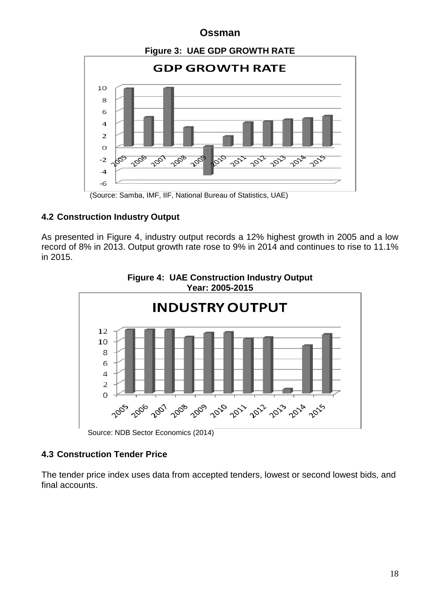

(Source: Samba, IMF, IIF, National Bureau of Statistics, UAE)

## **4.2 Construction Industry Output**

As presented in Figure 4, industry output records a 12% highest growth in 2005 and a low record of 8% in 2013. Output growth rate rose to 9% in 2014 and continues to rise to 11.1% in 2015.



**Figure 4: UAE Construction Industry Output**

Source: NDB Sector Economics (2014)

## **4.3 Construction Tender Price**

The tender price index uses data from accepted tenders, lowest or second lowest bids, and final accounts.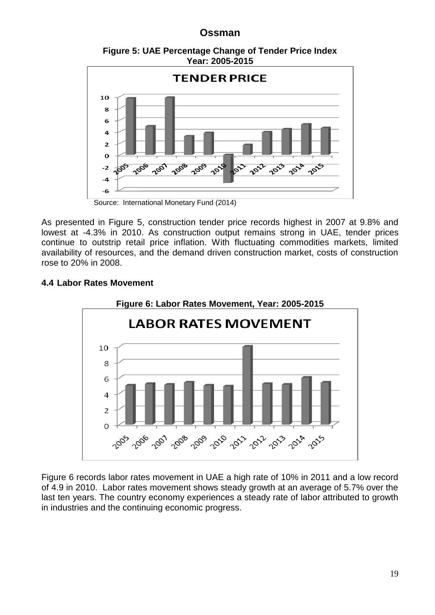**Figure 5: UAE Percentage Change of Tender Price Index Year: 2005-2015**



Source: International Monetary Fund (2014)

As presented in Figure 5, construction tender price records highest in 2007 at 9.8% and lowest at -4.3% in 2010. As construction output remains strong in UAE, tender prices continue to outstrip retail price inflation. With fluctuating commodities markets, limited availability of resources, and the demand driven construction market, costs of construction rose to 20% in 2008.

#### **4.4 Labor Rates Movement**



Figure 6 records labor rates movement in UAE a high rate of 10% in 2011 and a low record of 4.9 in 2010. Labor rates movement shows steady growth at an average of 5.7% over the last ten years. The country economy experiences a steady rate of labor attributed to growth in industries and the continuing economic progress.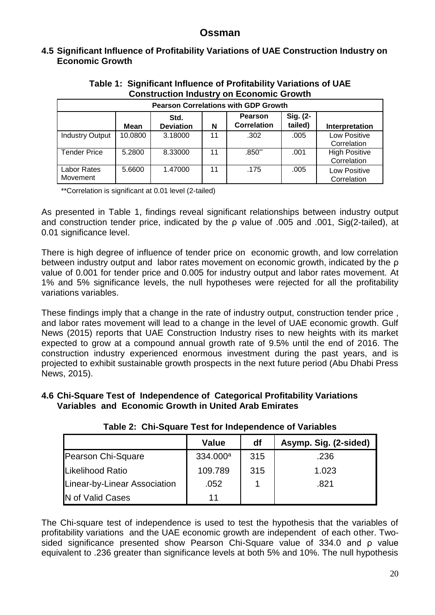#### **4.5 Significant Influence of Profitability Variations of UAE Construction Industry on Economic Growth**

| CONSUMENTI MUUSU V ON LEUNIUMINE OLUWUN                                                                                |                                             |         |    |          |      |                                     |  |  |
|------------------------------------------------------------------------------------------------------------------------|---------------------------------------------|---------|----|----------|------|-------------------------------------|--|--|
|                                                                                                                        | <b>Pearson Correlations with GDP Growth</b> |         |    |          |      |                                     |  |  |
| Sig. (2-<br><b>Pearson</b><br>Std.<br>tailed)<br><b>Correlation</b><br><b>Deviation</b><br>N<br>Interpretation<br>Mean |                                             |         |    |          |      |                                     |  |  |
| <b>Industry Output</b>                                                                                                 | 10.0800                                     | 3.18000 | 11 | .302     | .005 | Low Positive<br>Correlation         |  |  |
| <b>Tender Price</b>                                                                                                    | 5.2800                                      | 8.33000 | 11 | $.850**$ | .001 | <b>High Positive</b><br>Correlation |  |  |
| Labor Rates<br>Movement                                                                                                | 5.6600                                      | 1.47000 | 11 | .175     | .005 | Low Positive<br>Correlation         |  |  |

#### **Table 1: Significant Influence of Profitability Variations of UAE Construction Industry on Economic Growth**

\*\*Correlation is significant at 0.01 level (2-tailed)

As presented in Table 1, findings reveal significant relationships between industry output and construction tender price, indicated by the ρ value of .005 and .001, Sig(2-tailed), at 0.01 significance level.

There is high degree of influence of tender price on economic growth, and low correlation between industry output and labor rates movement on economic growth, indicated by the ρ value of 0.001 for tender price and 0.005 for industry output and labor rates movement. At 1% and 5% significance levels, the null hypotheses were rejected for all the profitability variations variables.

These findings imply that a change in the rate of industry output, construction tender price , and labor rates movement will lead to a change in the level of UAE economic growth. Gulf News (2015) reports that UAE Construction Industry rises to new heights with its market expected to grow at a compound annual growth rate of 9.5% until the end of 2016. The construction industry experienced enormous investment during the past years, and is projected to exhibit sustainable growth prospects in the next future period (Abu Dhabi Press News, 2015).

#### **4.6 Chi-Square Test of Independence of Categorical Profitability Variations Variables and Economic Growth in United Arab Emirates**

|                              | <b>Value</b>         | df  | Asymp. Sig. (2-sided) |
|------------------------------|----------------------|-----|-----------------------|
| Pearson Chi-Square           | 334.000 <sup>a</sup> | 315 | .236                  |
| Likelihood Ratio             | 109.789              | 315 | 1.023                 |
| Linear-by-Linear Association | .052                 |     | .821                  |
| N of Valid Cases             | 11                   |     |                       |

**Table 2: Chi-Square Test for Independence of Variables**

The Chi-square test of independence is used to test the hypothesis that the variables of profitability variations and the UAE economic growth are independent of each other. Twosided significance presented show Pearson Chi-Square value of 334.0 and ρ value equivalent to .236 greater than significance levels at both 5% and 10%. The null hypothesis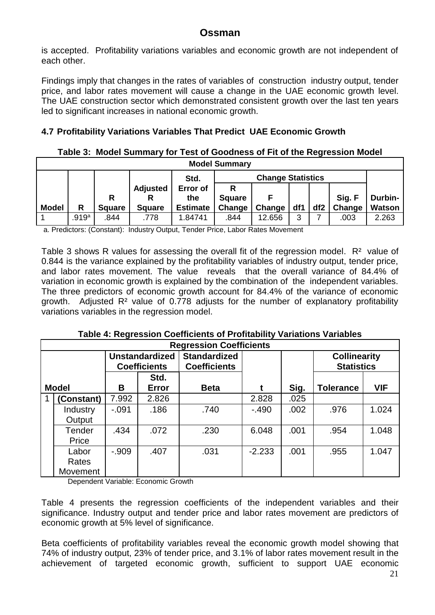is accepted. Profitability variations variables and economic growth are not independent of each other.

Findings imply that changes in the rates of variables of construction industry output, tender price, and labor rates movement will cause a change in the UAE economic growth level. The UAE construction sector which demonstrated consistent growth over the last ten years led to significant increases in national economic growth.

### **4.7 Profitability Variations Variables That Predict UAE Economic Growth**

#### **Table 3: Model Summary for Test of Goodness of Fit of the Regression Model**

| <b>Model Summary</b> |       |               |                 |                 |               |                          |     |                 |        |         |
|----------------------|-------|---------------|-----------------|-----------------|---------------|--------------------------|-----|-----------------|--------|---------|
|                      |       |               |                 | Std.            |               | <b>Change Statistics</b> |     |                 |        |         |
|                      |       |               | <b>Adjusted</b> | Error of        | R             |                          |     |                 |        |         |
|                      |       | R             |                 | the             | <b>Square</b> |                          |     |                 | Sig. F | Durbin- |
| <b>Model</b>         | R     | <b>Square</b> | <b>Square</b>   | <b>Estimate</b> | Change        | Change                   | df1 | df <sub>2</sub> | Change | Watson  |
|                      | .919a | .844          | .778            | 1.84741         | .844          | 12.656                   | 3   |                 | .003   | 2.263   |

a. Predictors: (Constant): Industry Output, Tender Price, Labor Rates Movement

Table 3 shows R values for assessing the overall fit of the regression model. R<sup>2</sup> value of 0.844 is the variance explained by the profitability variables of industry output, tender price, and labor rates movement. The value reveals that the overall variance of 84.4% of variation in economic growth is explained by the combination of the independent variables. The three predictors of economic growth account for 84.4% of the variance of economic growth. Adjusted R² value of 0.778 adjusts for the number of explanatory profitability variations variables in the regression model.

| Table 4: Regression Coefficients of Profitability Variations Variables |
|------------------------------------------------------------------------|
| <b>Regression Coefficients</b>                                         |

| ILENI COOINII ANGIIINICIIIO |                                              |               |                                            |          |      |                                          |            |  |
|-----------------------------|----------------------------------------------|---------------|--------------------------------------------|----------|------|------------------------------------------|------------|--|
|                             | <b>Unstandardized</b><br><b>Coefficients</b> |               | <b>Standardized</b><br><b>Coefficients</b> |          |      | <b>Collinearity</b><br><b>Statistics</b> |            |  |
| <b>Model</b>                | B                                            | Std.<br>Error | <b>Beta</b>                                |          | Sig. | <b>Tolerance</b>                         | <b>VIF</b> |  |
| <b>Constant)</b>            | 7.992                                        | 2.826         |                                            | 2.828    | .025 |                                          |            |  |
| Industry<br>Output          | $-.091$                                      | .186          | .740                                       | $-490$   | .002 | .976                                     | 1.024      |  |
| Tender<br>Price             | .434                                         | .072          | .230                                       | 6.048    | .001 | .954                                     | 1.048      |  |
| Labor<br>Rates<br>Movement  | $-0.909$                                     | .407          | .031                                       | $-2.233$ | .001 | .955                                     | 1.047      |  |

Dependent Variable: Economic Growth

Г

Table 4 presents the regression coefficients of the independent variables and their significance. Industry output and tender price and labor rates movement are predictors of economic growth at 5% level of significance.

Beta coefficients of profitability variables reveal the economic growth model showing that 74% of industry output, 23% of tender price, and 3.1% of labor rates movement result in the achievement of targeted economic growth, sufficient to support UAE economic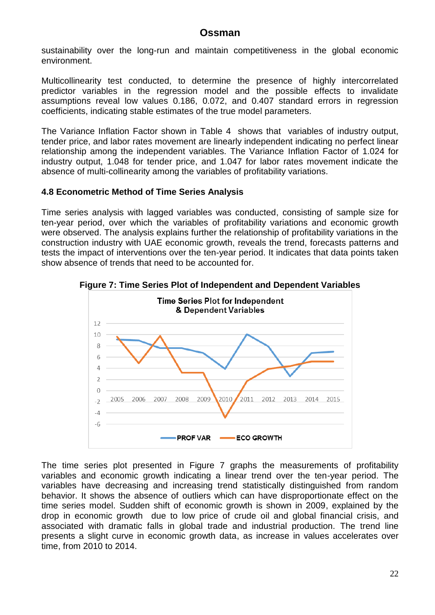sustainability over the long-run and maintain competitiveness in the global economic environment.

Multicollinearity test conducted, to determine the presence of highly intercorrelated predictor variables in the regression model and the possible effects to invalidate assumptions reveal low values 0.186, 0.072, and 0.407 standard errors in regression coefficients, indicating stable estimates of the true model parameters.

The Variance Inflation Factor shown in Table 4 shows that variables of industry output, tender price, and labor rates movement are linearly independent indicating no perfect linear relationship among the independent variables. The Variance Inflation Factor of 1.024 for industry output, 1.048 for tender price, and 1.047 for labor rates movement indicate the absence of multi-collinearity among the variables of profitability variations.

#### **4.8 Econometric Method of Time Series Analysis**

Time series analysis with lagged variables was conducted, consisting of sample size for ten-year period, over which the variables of profitability variations and economic growth were observed. The analysis explains further the relationship of profitability variations in the construction industry with UAE economic growth, reveals the trend, forecasts patterns and tests the impact of interventions over the ten-year period. It indicates that data points taken show absence of trends that need to be accounted for.



**Figure 7: Time Series Plot of Independent and Dependent Variables**

The time series plot presented in Figure 7 graphs the measurements of profitability variables and economic growth indicating a linear trend over the ten-year period. The variables have decreasing and increasing trend statistically distinguished from random behavior. It shows the absence of outliers which can have disproportionate effect on the time series model. Sudden shift of economic growth is shown in 2009, explained by the drop in economic growth due to low price of crude oil and global financial crisis, and associated with dramatic falls in global trade and industrial production. The trend line presents a slight curve in economic growth data, as increase in values accelerates over time, from 2010 to 2014.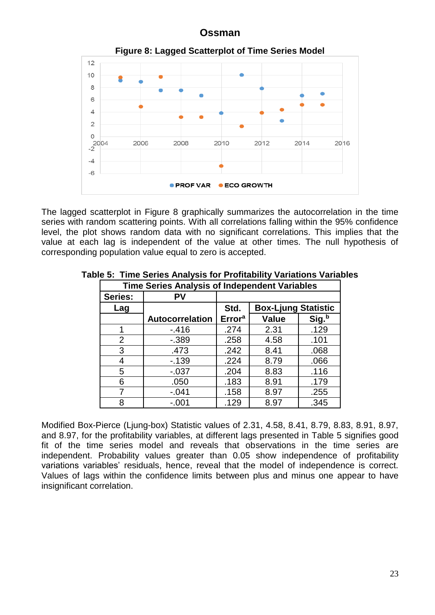

The lagged scatterplot in Figure 8 graphically summarizes the autocorrelation in the time series with random scattering points. With all correlations falling within the 95% confidence level, the plot shows random data with no significant correlations. This implies that the value at each lag is independent of the value at other times. The null hypothesis of corresponding population value equal to zero is accepted.

| <b>Time Series Analysis of Independent Variables</b> |                        |               |                            |       |  |  |  |
|------------------------------------------------------|------------------------|---------------|----------------------------|-------|--|--|--|
| <b>Series:</b>                                       | PV                     |               |                            |       |  |  |  |
| Lag                                                  |                        | Std.          | <b>Box-Ljung Statistic</b> |       |  |  |  |
|                                                      | <b>Autocorrelation</b> | <b>Errora</b> | <b>Value</b>               | Sig.b |  |  |  |
| 1                                                    | $-416$                 | .274          | 2.31                       | .129  |  |  |  |
| $\overline{2}$                                       | $-0.389$               | .258          | 4.58                       | .101  |  |  |  |
| 3                                                    | .473                   | .242          | 8.41                       | .068  |  |  |  |
| 4                                                    | $-139$                 | .224          | 8.79                       | .066  |  |  |  |
| 5                                                    | $-0.037$               | .204          | 8.83                       | .116  |  |  |  |
| 6                                                    | .050                   | .183          | 8.91                       | .179  |  |  |  |
| 7                                                    | $-.041$                | .158          | 8.97                       | .255  |  |  |  |
| 8                                                    | $-.001$                | .129          | 8.97                       | .345  |  |  |  |

**Table 5: Time Series Analysis for Profitability Variations Variables**

Modified Box-Pierce (Ljung-box) Statistic values of 2.31, 4.58, 8.41, 8.79, 8.83, 8.91, 8.97, and 8.97, for the profitability variables, at different lags presented in Table 5 signifies good fit of the time series model and reveals that observations in the time series are independent. Probability values greater than 0.05 show independence of profitability variations variables' residuals, hence, reveal that the model of independence is correct. Values of lags within the confidence limits between plus and minus one appear to have insignificant correlation.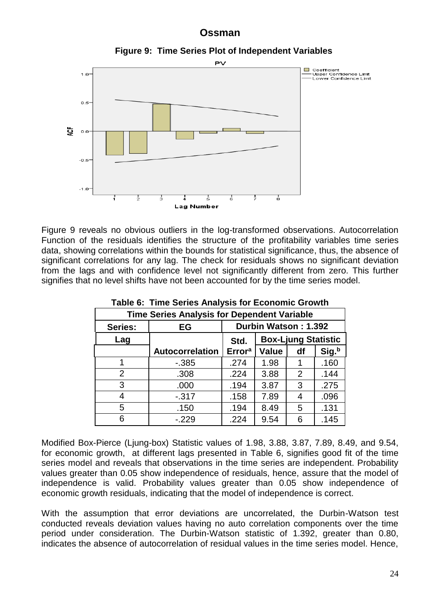

Figure 9 reveals no obvious outliers in the log-transformed observations. Autocorrelation Function of the residuals identifies the structure of the profitability variables time series data, showing correlations within the bounds for statistical significance, thus, the absence of significant correlations for any lag. The check for residuals shows no significant deviation from the lags and with confidence level not significantly different from zero. This further signifies that no level shifts have not been accounted for by the time series model.

Lag Number

| <b>Time Series Analysis for Dependent Variable</b> |                        |                                    |              |    |       |  |  |  |
|----------------------------------------------------|------------------------|------------------------------------|--------------|----|-------|--|--|--|
| Series:                                            | EG                     | Durbin Watson: 1.392               |              |    |       |  |  |  |
| Lag                                                |                        | <b>Box-Ljung Statistic</b><br>Std. |              |    |       |  |  |  |
|                                                    | <b>Autocorrelation</b> | <b>Error</b> <sup>a</sup>          | <b>Value</b> | df | Sig.b |  |  |  |
|                                                    | $-0.385$               | .274                               | 1.98         |    | .160  |  |  |  |
| 2                                                  | .308                   | .224                               | 3.88         | 2  | .144  |  |  |  |
| 3                                                  | .000                   | .194                               | 3.87         | 3  | .275  |  |  |  |
| 4                                                  | $-0.317$               | .158                               | 7.89         |    | .096  |  |  |  |
| 5                                                  | .150                   | .194                               | 8.49         | 5  | .131  |  |  |  |
| 6                                                  | $-229$                 | .224                               | 9.54         | 6  | .145  |  |  |  |

**Table 6: Time Series Analysis for Economic Growth**

Modified Box-Pierce (Ljung-box) Statistic values of 1.98, 3.88, 3.87, 7.89, 8.49, and 9.54, for economic growth, at different lags presented in Table 6, signifies good fit of the time series model and reveals that observations in the time series are independent. Probability values greater than 0.05 show independence of residuals, hence, assure that the model of independence is valid. Probability values greater than 0.05 show independence of economic growth residuals, indicating that the model of independence is correct.

With the assumption that error deviations are uncorrelated, the Durbin-Watson test conducted reveals deviation values having no auto correlation components over the time period under consideration. The Durbin-Watson statistic of 1.392, greater than 0.80, indicates the absence of autocorrelation of residual values in the time series model. Hence,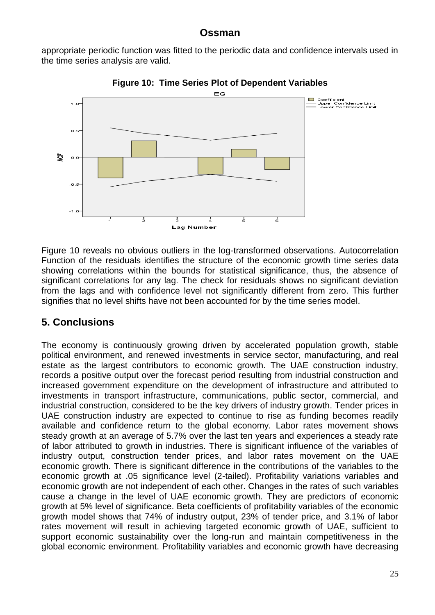appropriate periodic function was fitted to the periodic data and confidence intervals used in the time series analysis are valid.



**Figure 10: Time Series Plot of Dependent Variables**

Figure 10 reveals no obvious outliers in the log-transformed observations. Autocorrelation Function of the residuals identifies the structure of the economic growth time series data showing correlations within the bounds for statistical significance, thus, the absence of significant correlations for any lag. The check for residuals shows no significant deviation from the lags and with confidence level not significantly different from zero. This further signifies that no level shifts have not been accounted for by the time series model.

# **5. Conclusions**

The economy is continuously growing driven by accelerated population growth, stable political environment, and renewed investments in service sector, manufacturing, and real estate as the largest contributors to economic growth. The UAE construction industry, records a positive output over the forecast period resulting from industrial construction and increased government expenditure on the development of infrastructure and attributed to investments in transport infrastructure, communications, public sector, commercial, and industrial construction, considered to be the key drivers of industry growth. Tender prices in UAE construction industry are expected to continue to rise as funding becomes readily available and confidence return to the global economy. Labor rates movement shows steady growth at an average of 5.7% over the last ten years and experiences a steady rate of labor attributed to growth in industries. There is significant influence of the variables of industry output, construction tender prices, and labor rates movement on the UAE economic growth. There is significant difference in the contributions of the variables to the economic growth at .05 significance level (2-tailed). Profitability variations variables and economic growth are not independent of each other. Changes in the rates of such variables cause a change in the level of UAE economic growth. They are predictors of economic growth at 5% level of significance. Beta coefficients of profitability variables of the economic growth model shows that 74% of industry output, 23% of tender price, and 3.1% of labor rates movement will result in achieving targeted economic growth of UAE, sufficient to support economic sustainability over the long-run and maintain competitiveness in the global economic environment. Profitability variables and economic growth have decreasing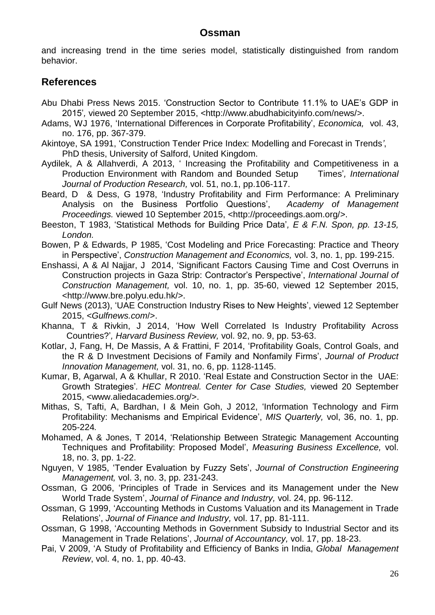and increasing trend in the time series model, statistically distinguished from random behavior.

## **References**

- Abu Dhabi Press News 2015. 'Construction Sector to Contribute 11.1% to UAE's GDP in 2015'*,* viewed 20 September 2015, *<*http://www.abudhabicityinfo.com/news/>.
- Adams, WJ 1976, 'International Differences in Corporate Profitability', *Economica,* vol. 43, no. 176, pp. 367-379.
- Akintoye, SA 1991, 'Construction Tender Price Index: Modelling and Forecast in Trends*'*, PhD thesis, University of Salford, United Kingdom.
- Aydilek, A & Allahverdi, A 2013, ' Increasing the Profitability and Competitiveness in a Production Environment with Random and Bounded Setup Times'*, International Journal of Production Research,* vol. 51, no.1, pp.106-117.
- Beard, D & Dess, G 1978, 'Industry Profitability and Firm Performance: A Preliminary Analysis on the Business Portfolio Questions', *Academy of Management Proceedings.* viewed 10 September 2015, <http://proceedings.aom.org/>.
- Beeston, T 1983, 'Statistical Methods for Building Price Data'*, E & F.N. Spon, pp. 13-15, London.*
- Bowen, P & Edwards, P 1985, 'Cost Modeling and Price Forecasting: Practice and Theory in Perspective', *Construction Management and Economics,* vol. 3, no. 1, pp. 199-215.
- Enshassi, A & Al Najjar, J 2014, 'Significant Factors Causing Time and Cost Overruns in Construction projects in Gaza Strip: Contractor's Perspective', *International Journal of Construction Management,* vol. 10, no. 1, pp. 35-60, viewed 12 September 2015, <http://www.bre.polyu.edu.hk/>.
- Gulf News (2013), 'UAE Construction Industry Rises to New Heights', viewed 12 September 2015, *<Gulfnews.com*/>.
- Khanna, T & Rivkin, J 2014, 'How Well Correlated Is Industry Profitability Across Countries?'*, Harvard Business Review,* vol. 92, no. 9, pp. 53-63.
- Kotlar, J, Fang, H, De Massis, A & Frattini, F 2014, 'Profitability Goals, Control Goals, and the R & D Investment Decisions of Family and Nonfamily Firms', *Journal of Product Innovation Management,* vol. 31, no. 6, pp. 1128-1145.
- Kumar, B, Agarwal, A & Khullar, R 2010. 'Real Estate and Construction Sector in the UAE: Growth Strategies'*. HEC Montreal. Center for Case Studies,* viewed 20 September 2015, <www.aliedacademies.org/>.
- Mithas, S, Tafti, A, Bardhan, I & Mein Goh, J 2012, 'Information Technology and Firm Profitability: Mechanisms and Empirical Evidence', *MIS Quarterly,* vol, 36, no. 1, pp. 205-224*.*
- Mohamed, A & Jones, T 2014, 'Relationship Between Strategic Management Accounting Techniques and Profitability: Proposed Model', *Measuring Business Excellence,* vol. 18, no. 3, pp. 1-22.
- Nguyen, V 1985, 'Tender Evaluation by Fuzzy Sets', *Journal of Construction Engineering Management,* vol. 3, no. 3, pp. 231-243.
- Ossman, G 2006, 'Principles of Trade in Services and its Management under the New World Trade System', *Journal of Finance and Industry,* vol. 24, pp. 96-112.
- Ossman, G 1999, 'Accounting Methods in Customs Valuation and its Management in Trade Relations', *Journal of Finance and Industry,* vol. 17, pp. 81-111.
- Ossman, G 1998, 'Accounting Methods in Government Subsidy to Industrial Sector and its Management in Trade Relations', *Journal of Accountancy,* vol. 17, pp. 18-23.
- Pai, V 2009, 'A Study of Profitability and Efficiency of Banks in India, *Global Management Review*, vol. 4, no. 1, pp. 40-43.